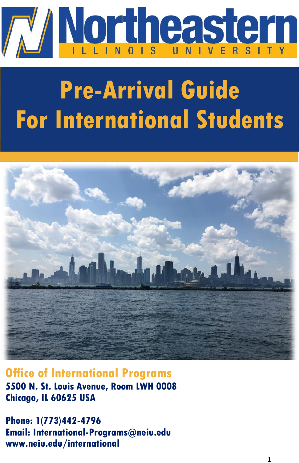

# **Pre-Arrival Guide Pre-Arrival Guide For International Students For International Students**



**Office of International Programs 5500 N. St. Louis Avenue, Room LWH 0008 Chicago, IL 60625 USA**

**Phone: 1(773)442-4796 Email: International-Programs@neiu.edu www.neiu.edu/international**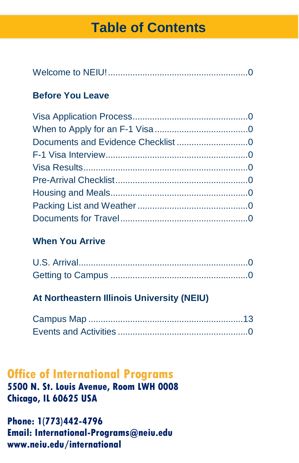# **Table of Contents**

|--|

# **Before You Leave**

## **When You Arrive**

## **At Northeastern Illinois University (NEIU)**

# **Office of International Programs 5500 N. St. Louis Avenue, Room LWH 0008 Chicago, IL 60625 USA**

**Phone: 1(773)442-4796 Email: International-Programs@neiu.edu www.neiu.edu/international**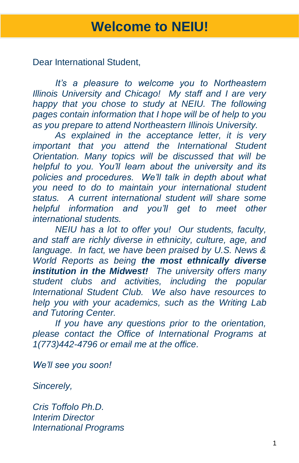Dear International Student,

 *It's a pleasure to welcome you to Northeastern Illinois University and Chicago! My staff and I are very happy that you chose to study at NEIU. The following pages contain information that I hope will be of help to you as you prepare to attend Northeastern Illinois University.*

 *As explained in the acceptance letter, it is very important that you attend the International Student Orientation. Many topics will be discussed that will be helpful to you. You'll learn about the university and its policies and procedures. We'll talk in depth about what you need to do to maintain your international student status. A current international student will share some helpful information and you'll get to meet other international students.*

 *NEIU has a lot to offer you! Our students, faculty, and staff are richly diverse in ethnicity, culture, age, and language. In fact, we have been praised by U.S. News & World Reports as being the most ethnically diverse institution in the Midwest! The university offers many student clubs and activities, including the popular International Student Club. We also have resources to help you with your academics, such as the Writing Lab and Tutoring Center.*

 *If you have any questions prior to the orientation, please contact the Office of International Programs at 1(773)442-4796 or email me at the office.*

*We'll see you soon!*

*Sincerely,*

*Cris Toffolo Ph.D. Interim Director International Programs*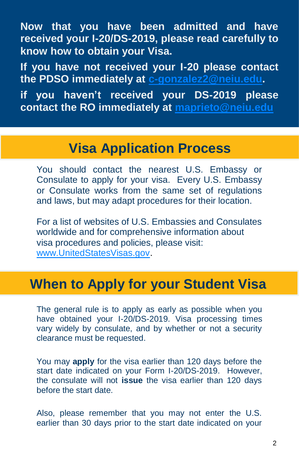**Now that you have been admitted and have received your I-20/DS-2019, please read carefully to know how to obtain your Visa.** 

**If you have not received your I-20 please contact the PDSO immediately at [c-gonzalez2@neiu.edu.](mailto:c-gonzalez2@neiu.edu)**

**if you haven't received your DS-2019 please contact the RO immediately at [maprieto@neiu.edu](mailto:maprieto@neiu.edu)**

# **Visa Application Process**

You should contact the nearest U.S. Embassy or Consulate to apply for your visa. Every U.S. Embassy or Consulate works from the same set of regulations and laws, but may adapt procedures for their location.

For a list of websites of U.S. Embassies and Consulates worldwide and for comprehensive information about visa procedures and policies, please visit: [www.UnitedStatesVisas.gov.](http://www.unitedstatesvisas.gov/)

# **When to Apply for your Student Visa**

The general rule is to apply as early as possible when you have obtained your I-20/DS-2019. Visa processing times vary widely by consulate, and by whether or not a security clearance must be requested.

You may **apply** for the visa earlier than 120 days before the start date indicated on your Form I-20/DS-2019. However, the consulate will not **issue** the visa earlier than 120 days before the start date.

Also, please remember that you may not enter the U.S. earlier than 30 days prior to the start date indicated on your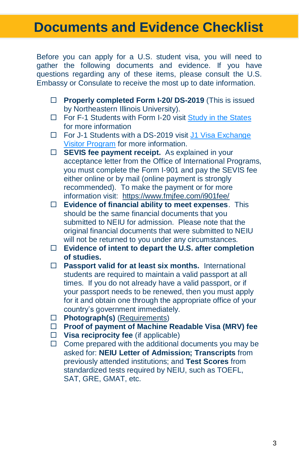# **Documents and Evidence Checklist**

Before you can apply for a U.S. student visa, you will need to gather the following documents and evidence. If you have questions regarding any of these items, please consult the U.S. Embassy or Consulate to receive the most up to date information.

- **Properly completed Form I-20/ DS-2019** (This is issued by Northeastern Illinois University).
- $\Box$  For F-1 Students with Form I-20 visit [Study in the States](https://studyinthestates.dhs.gov/students-and-the-form-i-20) for more information
- □ For J-1 Students with a DS-2019 visit J1 Visa Exchange [Visitor Program](https://j1visa.state.gov/participants/how-to-apply/interviews-documents/) for more information.
- **SEVIS fee payment receipt.** As explained in your acceptance letter from the Office of International Programs, you must complete the Form I-901 and pay the SEVIS fee either online or by mail (online payment is strongly recommended). To make the payment or for more information visit: <https://www.fmjfee.com/i901fee/>
- **Evidence of financial ability to meet expenses**. This should be the same financial documents that you submitted to NEIU for admission. Please note that the original financial documents that were submitted to NEIU will not be returned to you under any circumstances.
- **Evidence of intent to depart the U.S. after completion of studies.**
- **Passport valid for at least six months.** International students are required to maintain a valid passport at all times. If you do not already have a valid passport, or if your passport needs to be renewed, then you must apply for it and obtain one through the appropriate office of your country's government immediately.
- **Photograph(s)** [\(Requirements\)](https://travel.state.gov/content/travel/en/us-visas/visa-information-resources/photos.html)
- **Proof of payment of Machine Readable Visa (MRV) fee**
- **Visa reciprocity fee** (if applicable)
- $\Box$  Come prepared with the additional documents you may be asked for: **NEIU Letter of Admission; Transcripts** from previously attended institutions; and **Test Scores** from standardized tests required by NEIU, such as TOEFL, SAT, GRE, GMAT, etc.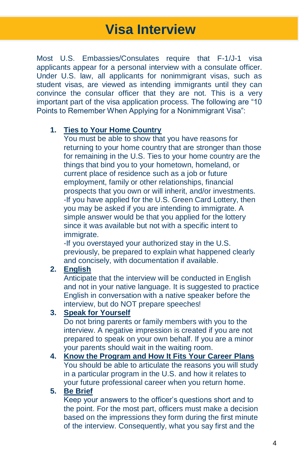Most U.S. Embassies/Consulates require that F-1/J-1 visa applicants appear for a personal interview with a consulate officer. Under U.S. law, all applicants for nonimmigrant visas, such as student visas, are viewed as intending immigrants until they can convince the consular officer that they are not. This is a very important part of the visa application process. The following are "10 Points to Remember When Applying for a Nonimmigrant Visa":

#### **1. Ties to Your Home Country**

You must be able to show that you have reasons for returning to your home country that are stronger than those for remaining in the U.S. Ties to your home country are the things that bind you to your hometown, homeland, or current place of residence such as a job or future employment, family or other relationships, financial prospects that you own or will inherit, and/or investments. -If you have applied for the U.S. Green Card Lottery, then you may be asked if you are intending to immigrate. A simple answer would be that you applied for the lottery since it was available but not with a specific intent to immigrate.

-If you overstayed your authorized stay in the U.S. previously, be prepared to explain what happened clearly and concisely, with documentation if available.

### **2. English**

Anticipate that the interview will be conducted in English and not in your native language. It is suggested to practice English in conversation with a native speaker before the interview, but do NOT prepare speeches!

### **3. Speak for Yourself**

Do not bring parents or family members with you to the interview. A negative impression is created if you are not prepared to speak on your own behalf. If you are a minor your parents should wait in the waiting room.

#### **4. Know the Program and How It Fits Your Career Plans** You should be able to articulate the reasons you will study in a particular program in the U.S. and how it relates to your future professional career when you return home.

### **5. Be Brief**

Keep your answers to the officer's questions short and to the point. For the most part, officers must make a decision based on the impressions they form during the first minute of the interview. Consequently, what you say first and the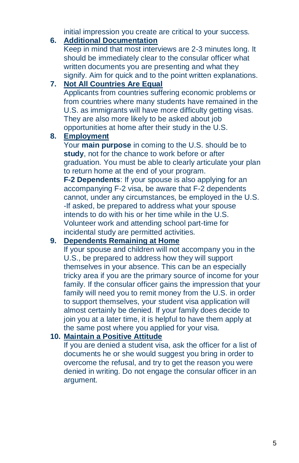initial impression you create are critical to your success.

### **6. Additional Documentation**

Keep in mind that most interviews are 2-3 minutes long. It should be immediately clear to the consular officer what written documents you are presenting and what they signify. Aim for quick and to the point written explanations.

### **7. Not All Countries Are Equal**

Applicants from countries suffering economic problems or from countries where many students have remained in the U.S. as immigrants will have more difficulty getting visas. They are also more likely to be asked about job opportunities at home after their study in the U.S.

### **8. Employment**

Your **main purpose** in coming to the U.S. should be to **study**, not for the chance to work before or after graduation. You must be able to clearly articulate your plan to return home at the end of your program.

**F-2 Dependents**: If your spouse is also applying for an accompanying F-2 visa, be aware that F-2 dependents cannot, under any circumstances, be employed in the U.S. -If asked, be prepared to address what your spouse intends to do with his or her time while in the U.S. Volunteer work and attending school part-time for incidental study are permitted activities.

### **9. Dependents Remaining at Home**

If your spouse and children will not accompany you in the U.S., be prepared to address how they will support themselves in your absence. This can be an especially tricky area if you are the primary source of income for your family. If the consular officer gains the impression that your family will need you to remit money from the U.S. in order to support themselves, your student visa application will almost certainly be denied. If your family does decide to join you at a later time, it is helpful to have them apply at the same post where you applied for your visa.

### **10. Maintain a Positive Attitude**

If you are denied a student visa, ask the officer for a list of documents he or she would suggest you bring in order to overcome the refusal, and try to get the reason you were denied in writing. Do not engage the consular officer in an argument.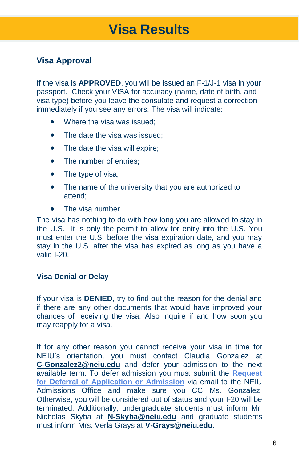### **Visa Approval**

If the visa is **APPROVED**, you will be issued an F-1/J-1 visa in your passport. Check your VISA for accuracy (name, date of birth, and visa type) before you leave the consulate and request a correction immediately if you see any errors. The visa will indicate:

- Where the visa was issued:
- The date the visa was issued:
- The date the visa will expire;
- The number of entries:
- The type of visa;
- The name of the university that you are authorized to attend;
- The visa number.

The visa has nothing to do with how long you are allowed to stay in the U.S. It is only the permit to allow for entry into the U.S. You must enter the U.S. before the visa expiration date, and you may stay in the U.S. after the visa has expired as long as you have a valid I-20.

#### **Visa Denial or Delay**

If your visa is **DENIED**, try to find out the reason for the denial and if there are any other documents that would have improved your chances of receiving the visa. Also inquire if and how soon you may reapply for a visa.

If for any other reason you cannot receive your visa in time for NEIU's orientation, you must contact Claudia Gonzalez at **[C-Gonzalez2@neiu.edu](mailto:C-Gonzalez2@neiu.edu)** and defer your admission to the next available term. To defer admission you must submit the **[Request](https://www.neiu.edu/future-students/sites/neiu.edu.future-students/files/documents/sapaja2/Deferment%20Request%20form%20(revised).pdf)  [for Deferral of Application or Admission](https://www.neiu.edu/future-students/sites/neiu.edu.future-students/files/documents/sapaja2/Deferment%20Request%20form%20(revised).pdf)** via email to the NEIU Admissions Office and make sure you CC Ms. Gonzalez. Otherwise, you will be considered out of status and your I-20 will be terminated. Additionally, undergraduate students must inform Mr. Nicholas Skyba at **[N-Skyba@neiu.edu](mailto:N-Skyba@neiu.edu)** and graduate students must inform Mrs. Verla Grays at **[V-Grays@neiu.edu](mailto:V-Grays@neiu.edu)**.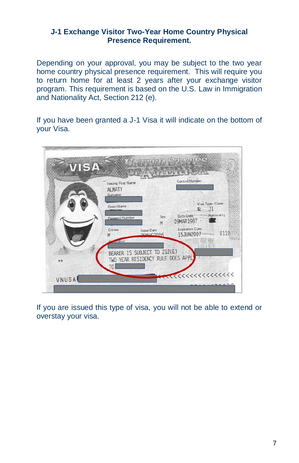### **J-1 Exchange Visitor Two-Year Home Country Physical Presence Requirement.**

Depending on your approval, you may be subject to the two year home country physical presence requirement. This will require you to return home for at least 2 years after your exchange visitor program. This requirement is based on the U.S. Law in Immigration and Nationality Act, Section 212 (e).

If you have been granted a J-1 Visa it will indicate on the bottom of your Visa.



If you are issued this type of visa, you will not be able to extend or overstay your visa.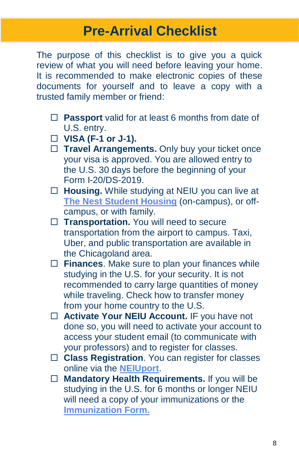# **Pre-Arrival Checklist**

The purpose of this checklist is to give you a quick review of what you will need before leaving your home. It is recommended to make electronic copies of these documents for yourself and to leave a copy with a trusted family member or friend:

- **Passport** valid for at least 6 months from date of U.S. entry.
- **VISA (F-1 or J-1).**
- □ Travel Arrangements. Only buy your ticket once your visa is approved. You are allowed entry to the U.S. 30 days before the beginning of your Form I-20/DS-2019.
- **Housing.** While studying at NEIU you can live at **The Nest [Student Housing](https://www.neiu.edu/university-life/student-housing/nest-student-housing-faqs)** (on-campus), or offcampus, or with family.
- □ Transportation. You will need to secure transportation from the airport to campus. Taxi, Uber, and public transportation are available in the Chicagoland area.
- **Finances**. Make sure to plan your finances while studying in the U.S. for your security. It is not recommended to carry large quantities of money while traveling. Check how to transfer money from your home country to the U.S.
- **Activate Your NEIU Account.** IF you have not done so, you will need to activate your account to access your student email (to communicate with your professors) and to register for classes.
- **Class Registration**. You can register for classes online via the **[NEIUport](https://neiuport.neiu.edu/cp/home/displaylogin)**.
- **Mandatory Health Requirements.** If you will be studying in the U.S. for 6 months or longer NEIU will need a copy of your immunizations or the **[Immunization Form.](https://www.neiu.edu/university-life/student-health-services/immunizations)**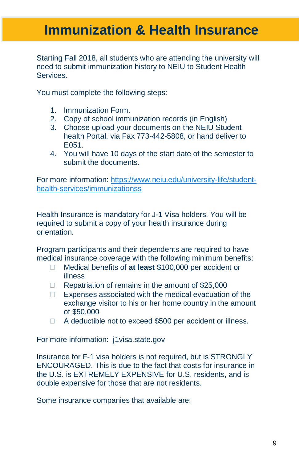# **Immunization & Health Insurance**

Starting Fall 2018, all students who are attending the university will need to submit immunization history to NEIU to Student Health **Services** 

You must complete the following steps:

- 1. Immunization Form.
- 2. Copy of school immunization records (in English)
- 3. Choose upload your documents on the NEIU Student health Portal, via Fax 773-442-5808, or hand deliver to E051.
- 4. You will have 10 days of the start date of the semester to submit the documents.

For more information: [https://www.neiu.edu/university-life/student](https://www.neiu.edu/university-life/student-health-services/immunizationss)[health-services/immunizationss](https://www.neiu.edu/university-life/student-health-services/immunizationss)

Health Insurance is mandatory for J-1 Visa holders. You will be required to submit a copy of your health insurance during orientation.

Program participants and their dependents are required to have medical insurance coverage with the following minimum benefits:

- Medical benefits of **at least** \$100,000 per accident or illness
- $\Box$  Repatriation of remains in the amount of \$25,000
- □ Expenses associated with the medical evacuation of the exchange visitor to his or her home country in the amount of \$50,000
- □ A deductible not to exceed \$500 per accident or illness.

For more information: j1visa.state.gov

Insurance for F-1 visa holders is not required, but is STRONGLY ENCOURAGED. This is due to the fact that costs for insurance in the U.S. is EXTREMELY EXPENSIVE for U.S. residents, and is double expensive for those that are not residents.

Some insurance companies that available are: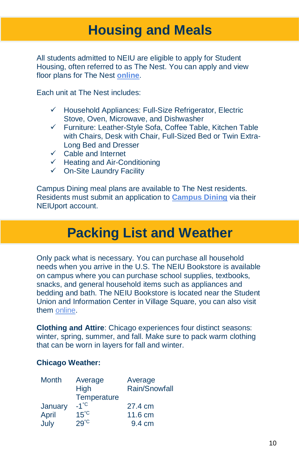# **Housing and Meals**

All students admitted to NEIU are eligible to apply for Student Housing, often referred to as The Nest. You can apply and view floor plans for The Nest **[online](https://www.neiu.edu/university-life/student-housing/nest-student-housing-faqs)**.

Each unit at The Nest includes:

- ✓ Household Appliances: Full-Size Refrigerator, Electric Stove, Oven, Microwave, and Dishwasher
- ✓ Furniture: Leather-Style Sofa, Coffee Table, Kitchen Table with Chairs, Desk with Chair, Full-Sized Bed or Twin Extra-Long Bed and Dresser
- ✓ Cable and Internet
- ✓ Heating and Air-Conditioning
- ✓ On-Site Laundry Facility

Campus Dining meal plans are available to The Nest residents. Residents must submit an application to **[Campus Dining](https://neiu.edu/university-life/student-union/campus-dining-0)** via their NEIUport account.

# **Packing List and Weather**

Only pack what is necessary. You can purchase all household needs when you arrive in the U.S. The NEIU Bookstore is available on campus where you can purchase school supplies, textbooks, snacks, and general household items such as appliances and bedding and bath. The NEIU Bookstore is located near the Student Union and Information Center in Village Square, you can also visit them [online.](https://www.neiu.edu/university-life/bookstore) 

**Clothing and Attire**: Chicago experiences four distinct seasons: winter, spring, summer, and fall. Make sure to pack warm clothing that can be worn in layers for fall and winter.

### **Chicago Weather:**

| <b>Month</b> | Average        | Average       |
|--------------|----------------|---------------|
|              | High           | Rain/Snowfall |
|              | Temperature    |               |
| January      | $-1^{\circ}C$  | 27.4 cm       |
| April        | $15^{\circ}$ C | 11.6 cm       |
| July         | $29^\circ$     | 9.4 cm        |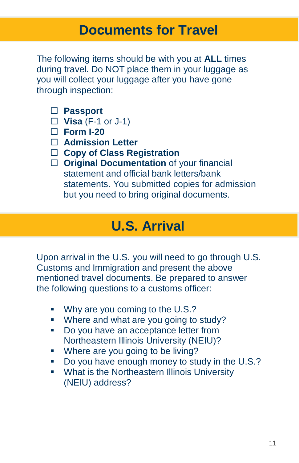The following items should be with you at **ALL** times during travel. Do NOT place them in your luggage as you will collect your luggage after you have gone through inspection:

- **Passport**
- **Visa** (F-1 or J-1)
- **Form I-20**
- **Admission Letter**
- **Copy of Class Registration**
- **Original Documentation** of your financial statement and official bank letters/bank statements. You submitted copies for admission but you need to bring original documents.

# **U.S. Arrival**

Upon arrival in the U.S. you will need to go through U.S. Customs and Immigration and present the above mentioned travel documents. Be prepared to answer the following questions to a customs officer:

- Why are you coming to the U.S.?
- **■** Where and what are you going to study?
- Do you have an acceptance letter from Northeastern Illinois University (NEIU)?
- Where are you going to be living?
- Do you have enough money to study in the U.S.?
- What is the Northeastern Illinois University (NEIU) address?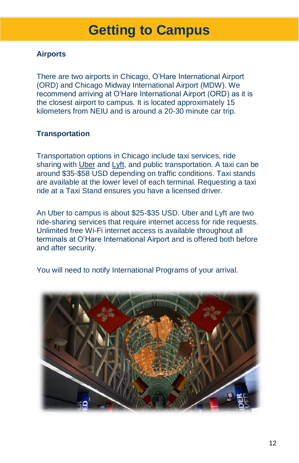# **Getting to Campus**

### **Airports**

There are two airports in Chicago, O'Hare International Airport (ORD) and Chicago Midway International Airport (MDW). We recommend arriving at O'Hare International Airport (ORD) as it is the closest airport to campus. It is located approximately 15 kilometers from NEIU and is around a 20-30 minute car trip.

### **Transportation**

Transportation options in Chicago include taxi services, ride sharing with [Uber](https://www.uber.com/ride/) and [Lyft,](https://www.lyft.com/rider) and public transportation. A taxi can be around \$35-\$58 USD depending on traffic conditions. Taxi stands are available at the lower level of each terminal. Requesting a taxi ride at a Taxi Stand ensures you have a licensed driver.

An Uber to campus is about \$25-\$35 USD. Uber and Lyft are two ride-sharing services that require internet access for ride requests. Unlimited free Wi-Fi internet access is available throughout all terminals at O'Hare International Airport and is offered both before and after security.

You will need to notify International Programs of your arrival.

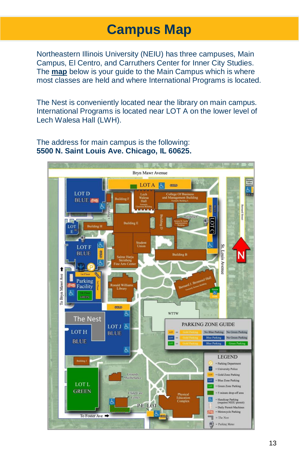# **Campus Map**

Northeastern Illinois University (NEIU) has three campuses, Main Campus, El Centro, and Carruthers Center for Inner City Studies. The **[map](https://www.neiu.edu/about/campus-map-and-directions)** below is your guide to the Main Campus which is where most classes are held and where International Programs is located.

The Nest is conveniently located near the library on main campus. International Programs is located near LOT A on the lower level of Lech Walesa Hall (LWH).

The address for main campus is the following: **5500 N. Saint Louis Ave. Chicago, IL 60625.**

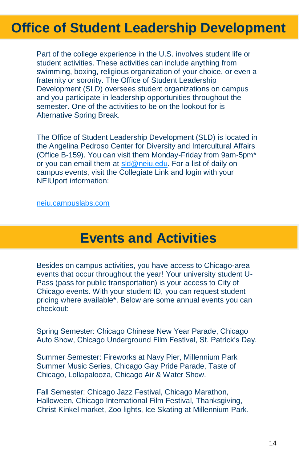# **Office of Student Leadership Development**

Part of the college experience in the U.S. involves student life or student activities. These activities can include anything from swimming, boxing, religious organization of your choice, or even a fraternity or sorority. The Office of Student Leadership Development (SLD) oversees student organizations on campus and you participate in leadership opportunities throughout the semester. One of the activities to be on the lookout for is Alternative Spring Break.

The Office of Student Leadership Development (SLD) is located in the Angelina Pedroso Center for Diversity and Intercultural Affairs (Office B-159). You can visit them Monday-Friday from 9am-5pm\* or you can email them at [sld@neiu.edu.](mailto:sld@neiu.edu) For a list of daily on campus events, visit the Collegiate Link and login with your NEIUport information:

#### [neiu.campuslabs.com](neiu.campuslabs.como)

# **Events and Activities**

Besides on campus activities, you have access to Chicago-area events that occur throughout the year! Your university student U-Pass (pass for public transportation) is your access to City of Chicago events. With your student ID, you can request student pricing where available\*. Below are some annual events you can checkout:

Spring Semester: Chicago Chinese New Year Parade, Chicago Auto Show, Chicago Underground Film Festival, St. Patrick's Day.

Summer Semester: Fireworks at Navy Pier, Millennium Park Summer Music Series, Chicago Gay Pride Parade, Taste of Chicago, Lollapalooza, Chicago Air & Water Show.

Fall Semester: Chicago Jazz Festival, Chicago Marathon, Halloween, Chicago International Film Festival, Thanksgiving, Christ Kinkel market, Zoo lights, Ice Skating at Millennium Park.